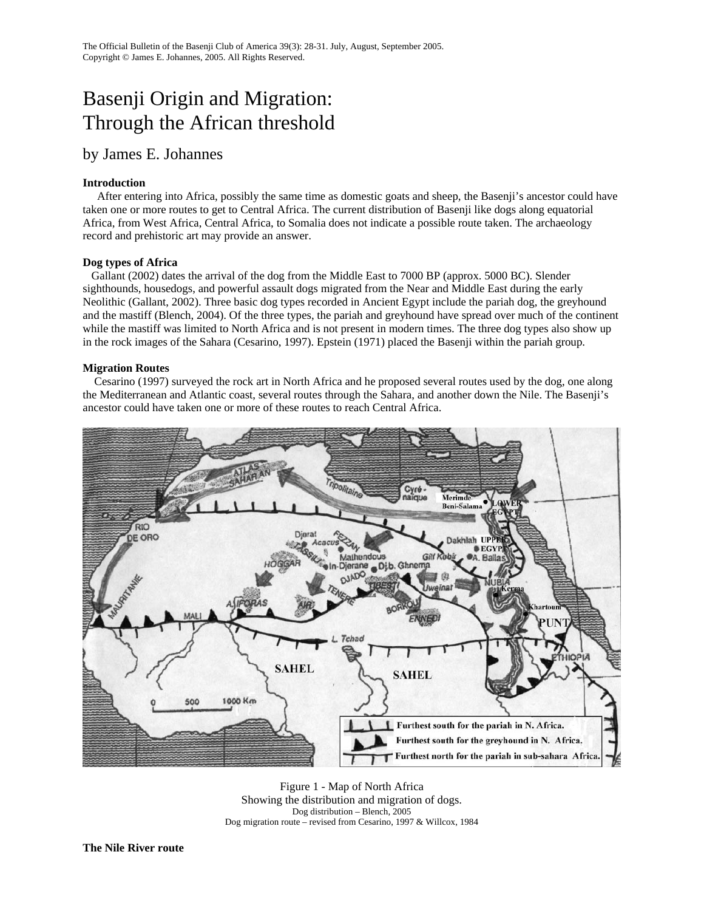# Basenji Origin and Migration: Through the African threshold

## by James E. Johannes

## **Introduction**

 After entering into Africa, possibly the same time as domestic goats and sheep, the Basenji's ancestor could have taken one or more routes to get to Central Africa. The current distribution of Basenji like dogs along equatorial Africa, from West Africa, Central Africa, to Somalia does not indicate a possible route taken. The archaeology record and prehistoric art may provide an answer.

## **Dog types of Africa**

 Gallant (2002) dates the arrival of the dog from the Middle East to 7000 BP (approx. 5000 BC). Slender sighthounds, housedogs, and powerful assault dogs migrated from the Near and Middle East during the early Neolithic (Gallant, 2002). Three basic dog types recorded in Ancient Egypt include the pariah dog, the greyhound and the mastiff (Blench, 2004). Of the three types, the pariah and greyhound have spread over much of the continent while the mastiff was limited to North Africa and is not present in modern times. The three dog types also show up in the rock images of the Sahara (Cesarino, 1997). Epstein (1971) placed the Basenji within the pariah group.

## **Migration Routes**

 Cesarino (1997) surveyed the rock art in North Africa and he proposed several routes used by the dog, one along the Mediterranean and Atlantic coast, several routes through the Sahara, and another down the Nile. The Basenji's ancestor could have taken one or more of these routes to reach Central Africa.



Figure 1 - Map of North Africa Showing the distribution and migration of dogs. Dog distribution – Blench, 2005 Dog migration route – revised from Cesarino, 1997 & Willcox, 1984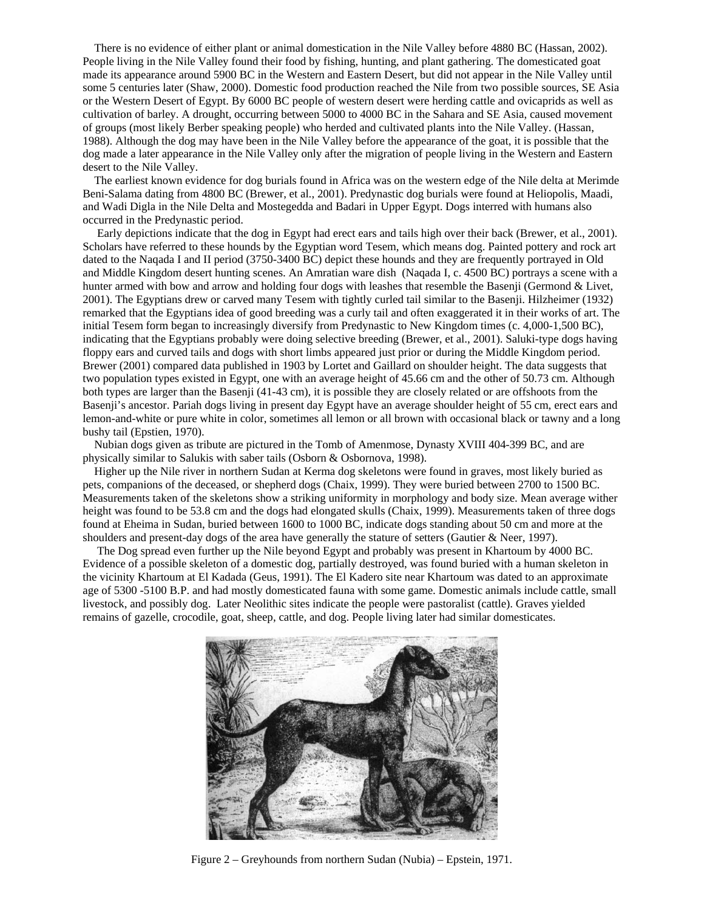There is no evidence of either plant or animal domestication in the Nile Valley before 4880 BC (Hassan, 2002). People living in the Nile Valley found their food by fishing, hunting, and plant gathering. The domesticated goat made its appearance around 5900 BC in the Western and Eastern Desert, but did not appear in the Nile Valley until some 5 centuries later (Shaw, 2000). Domestic food production reached the Nile from two possible sources, SE Asia or the Western Desert of Egypt. By 6000 BC people of western desert were herding cattle and ovicaprids as well as cultivation of barley. A drought, occurring between 5000 to 4000 BC in the Sahara and SE Asia, caused movement of groups (most likely Berber speaking people) who herded and cultivated plants into the Nile Valley. (Hassan, 1988). Although the dog may have been in the Nile Valley before the appearance of the goat, it is possible that the dog made a later appearance in the Nile Valley only after the migration of people living in the Western and Eastern desert to the Nile Valley.

 The earliest known evidence for dog burials found in Africa was on the western edge of the Nile delta at Merimde Beni-Salama dating from 4800 BC (Brewer, et al., 2001). Predynastic dog burials were found at Heliopolis, Maadi, and Wadi Digla in the Nile Delta and Mostegedda and Badari in Upper Egypt. Dogs interred with humans also occurred in the Predynastic period.

 Early depictions indicate that the dog in Egypt had erect ears and tails high over their back (Brewer, et al., 2001). Scholars have referred to these hounds by the Egyptian word Tesem, which means dog. Painted pottery and rock art dated to the Naqada I and II period (3750-3400 BC) depict these hounds and they are frequently portrayed in Old and Middle Kingdom desert hunting scenes. An Amratian ware dish (Naqada I, c. 4500 BC) portrays a scene with a hunter armed with bow and arrow and holding four dogs with leashes that resemble the Basenji (Germond & Livet, 2001). The Egyptians drew or carved many Tesem with tightly curled tail similar to the Basenji. Hilzheimer (1932) remarked that the Egyptians idea of good breeding was a curly tail and often exaggerated it in their works of art. The initial Tesem form began to increasingly diversify from Predynastic to New Kingdom times (c. 4,000-1,500 BC), indicating that the Egyptians probably were doing selective breeding (Brewer, et al., 2001). Saluki-type dogs having floppy ears and curved tails and dogs with short limbs appeared just prior or during the Middle Kingdom period. Brewer (2001) compared data published in 1903 by Lortet and Gaillard on shoulder height. The data suggests that two population types existed in Egypt, one with an average height of 45.66 cm and the other of 50.73 cm. Although both types are larger than the Basenji (41-43 cm), it is possible they are closely related or are offshoots from the Basenji's ancestor. Pariah dogs living in present day Egypt have an average shoulder height of 55 cm, erect ears and lemon-and-white or pure white in color, sometimes all lemon or all brown with occasional black or tawny and a long bushy tail (Epstien, 1970).

 Nubian dogs given as tribute are pictured in the Tomb of Amenmose, Dynasty XVIII 404-399 BC, and are physically similar to Salukis with saber tails (Osborn & Osbornova, 1998).

 Higher up the Nile river in northern Sudan at Kerma dog skeletons were found in graves, most likely buried as pets, companions of the deceased, or shepherd dogs (Chaix, 1999). They were buried between 2700 to 1500 BC. Measurements taken of the skeletons show a striking uniformity in morphology and body size. Mean average wither height was found to be 53.8 cm and the dogs had elongated skulls (Chaix, 1999). Measurements taken of three dogs found at Eheima in Sudan, buried between 1600 to 1000 BC, indicate dogs standing about 50 cm and more at the shoulders and present-day dogs of the area have generally the stature of setters (Gautier & Neer, 1997).

 The Dog spread even further up the Nile beyond Egypt and probably was present in Khartoum by 4000 BC. Evidence of a possible skeleton of a domestic dog, partially destroyed, was found buried with a human skeleton in the vicinity Khartoum at El Kadada (Geus, 1991). The El Kadero site near Khartoum was dated to an approximate age of 5300 -5100 B.P. and had mostly domesticated fauna with some game. Domestic animals include cattle, small livestock, and possibly dog. Later Neolithic sites indicate the people were pastoralist (cattle). Graves yielded remains of gazelle, crocodile, goat, sheep, cattle, and dog. People living later had similar domesticates.



Figure 2 – Greyhounds from northern Sudan (Nubia) – Epstein, 1971.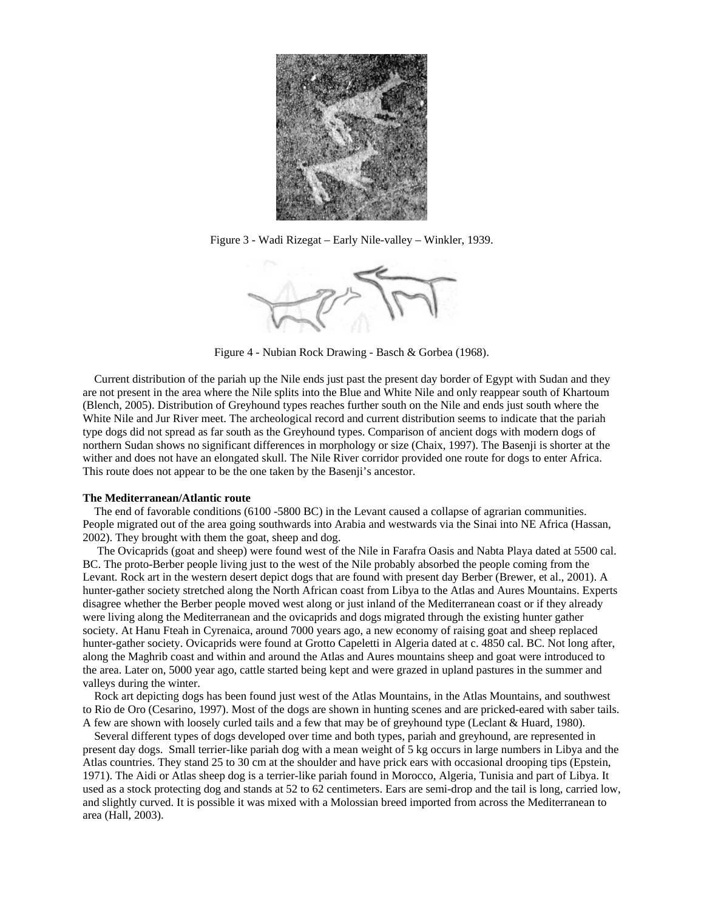

Figure 3 - Wadi Rizegat – Early Nile-valley – Winkler, 1939.



Figure 4 - Nubian Rock Drawing - Basch & Gorbea (1968).

 Current distribution of the pariah up the Nile ends just past the present day border of Egypt with Sudan and they are not present in the area where the Nile splits into the Blue and White Nile and only reappear south of Khartoum (Blench, 2005). Distribution of Greyhound types reaches further south on the Nile and ends just south where the White Nile and Jur River meet. The archeological record and current distribution seems to indicate that the pariah type dogs did not spread as far south as the Greyhound types. Comparison of ancient dogs with modern dogs of northern Sudan shows no significant differences in morphology or size (Chaix, 1997). The Basenji is shorter at the wither and does not have an elongated skull. The Nile River corridor provided one route for dogs to enter Africa. This route does not appear to be the one taken by the Basenji's ancestor.

#### **The Mediterranean/Atlantic route**

 The end of favorable conditions (6100 -5800 BC) in the Levant caused a collapse of agrarian communities. People migrated out of the area going southwards into Arabia and westwards via the Sinai into NE Africa (Hassan, 2002). They brought with them the goat, sheep and dog.

 The Ovicaprids (goat and sheep) were found west of the Nile in Farafra Oasis and Nabta Playa dated at 5500 cal. BC. The proto-Berber people living just to the west of the Nile probably absorbed the people coming from the Levant. Rock art in the western desert depict dogs that are found with present day Berber (Brewer, et al., 2001). A hunter-gather society stretched along the North African coast from Libya to the Atlas and Aures Mountains. Experts disagree whether the Berber people moved west along or just inland of the Mediterranean coast or if they already were living along the Mediterranean and the ovicaprids and dogs migrated through the existing hunter gather society. At Hanu Fteah in Cyrenaica, around 7000 years ago, a new economy of raising goat and sheep replaced hunter-gather society. Ovicaprids were found at Grotto Capeletti in Algeria dated at c. 4850 cal. BC. Not long after, along the Maghrib coast and within and around the Atlas and Aures mountains sheep and goat were introduced to the area. Later on, 5000 year ago, cattle started being kept and were grazed in upland pastures in the summer and valleys during the winter.

 Rock art depicting dogs has been found just west of the Atlas Mountains, in the Atlas Mountains, and southwest to Rio de Oro (Cesarino, 1997). Most of the dogs are shown in hunting scenes and are pricked-eared with saber tails. A few are shown with loosely curled tails and a few that may be of greyhound type (Leclant & Huard, 1980).

 Several different types of dogs developed over time and both types, pariah and greyhound, are represented in present day dogs. Small terrier-like pariah dog with a mean weight of 5 kg occurs in large numbers in Libya and the Atlas countries. They stand 25 to 30 cm at the shoulder and have prick ears with occasional drooping tips (Epstein, 1971). The Aidi or Atlas sheep dog is a terrier-like pariah found in Morocco, Algeria, Tunisia and part of Libya. It used as a stock protecting dog and stands at 52 to 62 centimeters. Ears are semi-drop and the tail is long, carried low, and slightly curved. It is possible it was mixed with a Molossian breed imported from across the Mediterranean to area (Hall, 2003).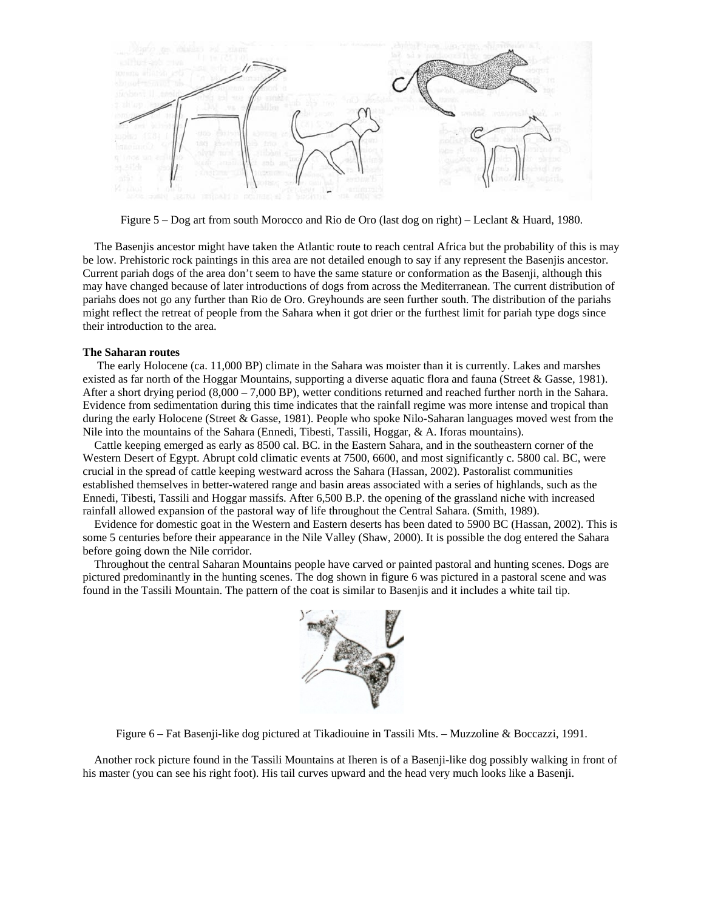

Figure 5 – Dog art from south Morocco and Rio de Oro (last dog on right) – Leclant & Huard, 1980.

 The Basenjis ancestor might have taken the Atlantic route to reach central Africa but the probability of this is may be low. Prehistoric rock paintings in this area are not detailed enough to say if any represent the Basenjis ancestor. Current pariah dogs of the area don't seem to have the same stature or conformation as the Basenji, although this may have changed because of later introductions of dogs from across the Mediterranean. The current distribution of pariahs does not go any further than Rio de Oro. Greyhounds are seen further south. The distribution of the pariahs might reflect the retreat of people from the Sahara when it got drier or the furthest limit for pariah type dogs since their introduction to the area.

#### **The Saharan routes**

 The early Holocene (ca. 11,000 BP) climate in the Sahara was moister than it is currently. Lakes and marshes existed as far north of the Hoggar Mountains, supporting a diverse aquatic flora and fauna (Street & Gasse, 1981). After a short drying period (8,000 – 7,000 BP), wetter conditions returned and reached further north in the Sahara. Evidence from sedimentation during this time indicates that the rainfall regime was more intense and tropical than during the early Holocene (Street & Gasse, 1981). People who spoke Nilo-Saharan languages moved west from the Nile into the mountains of the Sahara (Ennedi, Tibesti, Tassili, Hoggar, & A. Iforas mountains).

 Cattle keeping emerged as early as 8500 cal. BC. in the Eastern Sahara, and in the southeastern corner of the Western Desert of Egypt. Abrupt cold climatic events at 7500, 6600, and most significantly c. 5800 cal. BC, were crucial in the spread of cattle keeping westward across the Sahara (Hassan, 2002). Pastoralist communities established themselves in better-watered range and basin areas associated with a series of highlands, such as the Ennedi, Tibesti, Tassili and Hoggar massifs. After 6,500 B.P. the opening of the grassland niche with increased rainfall allowed expansion of the pastoral way of life throughout the Central Sahara. (Smith, 1989).

 Evidence for domestic goat in the Western and Eastern deserts has been dated to 5900 BC (Hassan, 2002). This is some 5 centuries before their appearance in the Nile Valley (Shaw, 2000). It is possible the dog entered the Sahara before going down the Nile corridor.

 Throughout the central Saharan Mountains people have carved or painted pastoral and hunting scenes. Dogs are pictured predominantly in the hunting scenes. The dog shown in figure 6 was pictured in a pastoral scene and was found in the Tassili Mountain. The pattern of the coat is similar to Basenjis and it includes a white tail tip.



Figure 6 – Fat Basenji-like dog pictured at Tikadiouine in Tassili Mts. – Muzzoline & Boccazzi, 1991.

 Another rock picture found in the Tassili Mountains at Iheren is of a Basenji-like dog possibly walking in front of his master (you can see his right foot). His tail curves upward and the head very much looks like a Basenji.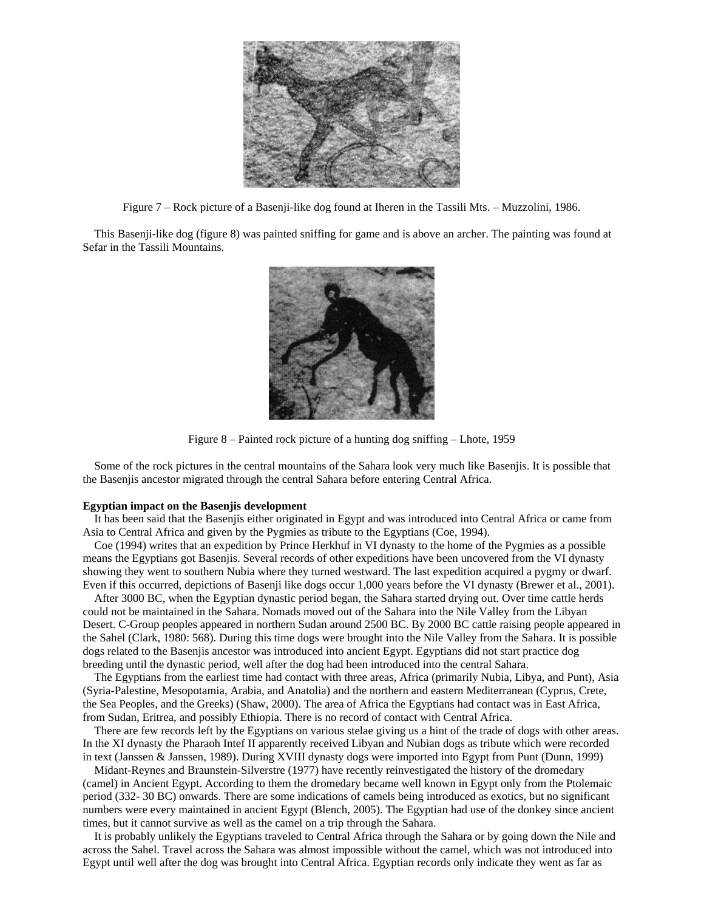

Figure 7 – Rock picture of a Basenji-like dog found at Iheren in the Tassili Mts. – Muzzolini, 1986.

 This Basenji-like dog (figure 8) was painted sniffing for game and is above an archer. The painting was found at Sefar in the Tassili Mountains.



Figure 8 – Painted rock picture of a hunting dog sniffing – Lhote, 1959

 Some of the rock pictures in the central mountains of the Sahara look very much like Basenjis. It is possible that the Basenjis ancestor migrated through the central Sahara before entering Central Africa.

## **Egyptian impact on the Basenjis development**

 It has been said that the Basenjis either originated in Egypt and was introduced into Central Africa or came from Asia to Central Africa and given by the Pygmies as tribute to the Egyptians (Coe, 1994).

 Coe (1994) writes that an expedition by Prince Herkhuf in VI dynasty to the home of the Pygmies as a possible means the Egyptians got Basenjis. Several records of other expeditions have been uncovered from the VI dynasty showing they went to southern Nubia where they turned westward. The last expedition acquired a pygmy or dwarf. Even if this occurred, depictions of Basenji like dogs occur 1,000 years before the VI dynasty (Brewer et al., 2001).

 After 3000 BC, when the Egyptian dynastic period began, the Sahara started drying out. Over time cattle herds could not be maintained in the Sahara. Nomads moved out of the Sahara into the Nile Valley from the Libyan Desert. C-Group peoples appeared in northern Sudan around 2500 BC. By 2000 BC cattle raising people appeared in the Sahel (Clark, 1980: 568). During this time dogs were brought into the Nile Valley from the Sahara. It is possible dogs related to the Basenjis ancestor was introduced into ancient Egypt. Egyptians did not start practice dog breeding until the dynastic period, well after the dog had been introduced into the central Sahara.

 The Egyptians from the earliest time had contact with three areas, Africa (primarily Nubia, Libya, and Punt), Asia (Syria-Palestine, Mesopotamia, Arabia, and Anatolia) and the northern and eastern Mediterranean (Cyprus, Crete, the Sea Peoples, and the Greeks) (Shaw, 2000). The area of Africa the Egyptians had contact was in East Africa, from Sudan, Eritrea, and possibly Ethiopia. There is no record of contact with Central Africa.

 There are few records left by the Egyptians on various stelae giving us a hint of the trade of dogs with other areas. In the XI dynasty the Pharaoh Intef II apparently received Libyan and Nubian dogs as tribute which were recorded in text (Janssen & Janssen, 1989). During XVIII dynasty dogs were imported into Egypt from Punt (Dunn, 1999)

 Midant-Reynes and Braunstein-Silverstre (1977) have recently reinvestigated the history of the dromedary (camel) in Ancient Egypt. According to them the dromedary became well known in Egypt only from the Ptolemaic period (332- 30 BC) onwards. There are some indications of camels being introduced as exotics, but no significant numbers were every maintained in ancient Egypt (Blench, 2005). The Egyptian had use of the donkey since ancient times, but it cannot survive as well as the camel on a trip through the Sahara.

 It is probably unlikely the Egyptians traveled to Central Africa through the Sahara or by going down the Nile and across the Sahel. Travel across the Sahara was almost impossible without the camel, which was not introduced into Egypt until well after the dog was brought into Central Africa. Egyptian records only indicate they went as far as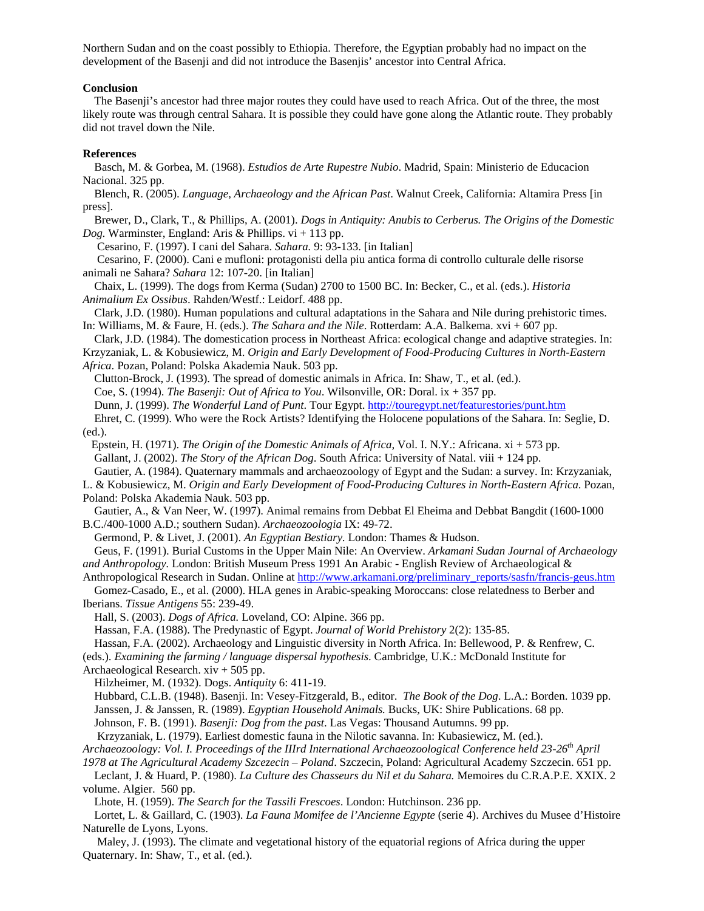Northern Sudan and on the coast possibly to Ethiopia. Therefore, the Egyptian probably had no impact on the development of the Basenji and did not introduce the Basenjis' ancestor into Central Africa.

#### **Conclusion**

 The Basenji's ancestor had three major routes they could have used to reach Africa. Out of the three, the most likely route was through central Sahara. It is possible they could have gone along the Atlantic route. They probably did not travel down the Nile.

## **References**

 Basch, M. & Gorbea, M. (1968). *Estudios de Arte Rupestre Nubio*. Madrid, Spain: Ministerio de Educacion Nacional. 325 pp.

 Blench, R. (2005). *Language, Archaeology and the African Past*. Walnut Creek, California: Altamira Press [in press].

 Brewer, D., Clark, T., & Phillips, A. (2001). *Dogs in Antiquity: Anubis to Cerberus. The Origins of the Domestic Dog.* Warminster, England: Aris & Phillips. vi + 113 pp.

Cesarino, F. (1997). I cani del Sahara. *Sahara.* 9: 93-133. [in Italian]

 Cesarino, F. (2000). Cani e mufloni: protagonisti della piu antica forma di controllo culturale delle risorse animali ne Sahara? *Sahara* 12: 107-20. [in Italian]

 Chaix, L. (1999). The dogs from Kerma (Sudan) 2700 to 1500 BC. In: Becker, C., et al. (eds.). *Historia Animalium Ex Ossibus*. Rahden/Westf.: Leidorf. 488 pp.

 Clark, J.D. (1980). Human populations and cultural adaptations in the Sahara and Nile during prehistoric times. In: Williams, M. & Faure, H. (eds.). *The Sahara and the Nile*. Rotterdam: A.A. Balkema. xvi + 607 pp.

 Clark, J.D. (1984). The domestication process in Northeast Africa: ecological change and adaptive strategies. In: Krzyzaniak, L. & Kobusiewicz, M. *Origin and Early Development of Food-Producing Cultures in North-Eastern* 

*Africa*. Pozan, Poland: Polska Akademia Nauk. 503 pp.

Clutton-Brock, J. (1993). The spread of domestic animals in Africa. In: Shaw, T., et al. (ed.).

Coe, S. (1994). *The Basenji: Out of Africa to You*. Wilsonville, OR: Doral. ix + 357 pp.

Dunn, J. (1999). *The Wonderful Land of Punt*. Tour Egypt. http://touregypt.net/featurestories/punt.htm

 Ehret, C. (1999). Who were the Rock Artists? Identifying the Holocene populations of the Sahara. In: Seglie, D. (ed.).

 Epstein, H. (1971). *The Origin of the Domestic Animals of Africa,* Vol. I. N.Y.: Africana. xi + 573 pp. Gallant, J. (2002). *The Story of the African Dog*. South Africa: University of Natal. viii + 124 pp.

Gautier, A. (1984). Quaternary mammals and archaeozoology of Egypt and the Sudan: a survey. In: Krzyzaniak,

L. & Kobusiewicz, M. *Origin and Early Development of Food-Producing Cultures in North-Eastern Africa*. Pozan, Poland: Polska Akademia Nauk. 503 pp.

 Gautier, A., & Van Neer, W. (1997). Animal remains from Debbat El Eheima and Debbat Bangdit (1600-1000 B.C./400-1000 A.D.; southern Sudan). *Archaeozoologia* IX: 49-72.

Germond, P. & Livet, J. (2001). *An Egyptian Bestiary*. London: Thames & Hudson.

 Geus, F. (1991). Burial Customs in the Upper Main Nile: An Overview. *Arkamani Sudan Journal of Archaeology and Anthropology.* London: British Museum Press 1991 An Arabic - English Review of Archaeological &

Anthropological Research in Sudan. Online at http://www.arkamani.org/preliminary\_reports/sasfn/francis-geus.htm

 Gomez-Casado, E., et al. (2000). HLA genes in Arabic-speaking Moroccans: close relatedness to Berber and Iberians. *Tissue Antigens* 55: 239-49.

Hall, S. (2003). *Dogs of Africa.* Loveland, CO: Alpine. 366 pp.

Hassan, F.A. (1988). The Predynastic of Egypt. *Journal of World Prehistory* 2(2): 135-85.

Hassan, F.A. (2002). Archaeology and Linguistic diversity in North Africa. In: Bellewood, P. & Renfrew, C.

(eds.). *Examining the farming / language dispersal hypothesis*. Cambridge, U.K.: McDonald Institute for

Archaeological Research. xiv + 505 pp.

Hilzheimer, M. (1932). Dogs. *Antiquity* 6: 411-19.

 Hubbard, C.L.B. (1948). Basenji. In: Vesey-Fitzgerald, B., editor. *The Book of the Dog*. L.A.: Borden. 1039 pp. Janssen, J. & Janssen, R. (1989). *Egyptian Household Animals.* Bucks, UK: Shire Publications. 68 pp.

Johnson, F. B. (1991). *Basenji: Dog from the past*. Las Vegas: Thousand Autumns. 99 pp.

Krzyzaniak, L. (1979). Earliest domestic fauna in the Nilotic savanna. In: Kubasiewicz, M. (ed.).

*Archaeozoology: Vol. I. Proceedings of the IIIrd International Archaeozoological Conference held 23-26th April* 

*1978 at The Agricultural Academy Szcezecin – Poland*. Szczecin, Poland: Agricultural Academy Szczecin. 651 pp.

 Leclant, J. & Huard, P. (1980). *La Culture des Chasseurs du Nil et du Sahara.* Memoires du C.R.A.P.E. XXIX. 2 volume. Algier. 560 pp.

Lhote, H. (1959). *The Search for the Tassili Frescoes*. London: Hutchinson. 236 pp.

 Lortet, L. & Gaillard, C. (1903). *La Fauna Momifee de l'Ancienne Egypte* (serie 4). Archives du Musee d'Histoire Naturelle de Lyons, Lyons.

 Maley, J. (1993). The climate and vegetational history of the equatorial regions of Africa during the upper Quaternary. In: Shaw, T., et al. (ed.).